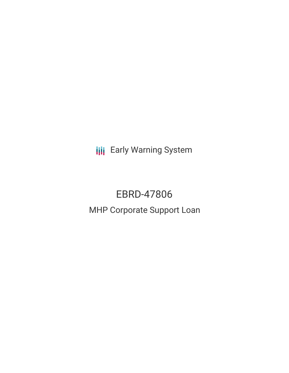**III** Early Warning System

## EBRD-47806 MHP Corporate Support Loan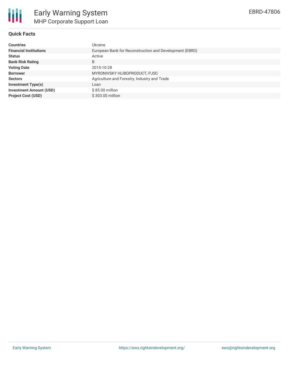

### **Quick Facts**

| <b>Countries</b>               | <b>Ukraine</b>                                          |
|--------------------------------|---------------------------------------------------------|
| <b>Financial Institutions</b>  | European Bank for Reconstruction and Development (EBRD) |
| <b>Status</b>                  | Active                                                  |
| <b>Bank Risk Rating</b>        | B                                                       |
| <b>Voting Date</b>             | 2015-10-28                                              |
| <b>Borrower</b>                | MYRONIVSKY HLIBOPRODUCT, PJSC                           |
| <b>Sectors</b>                 | Agriculture and Forestry, Industry and Trade            |
| <b>Investment Type(s)</b>      | Loan                                                    |
| <b>Investment Amount (USD)</b> | $$85.00$ million                                        |
| <b>Project Cost (USD)</b>      | \$303.00 million                                        |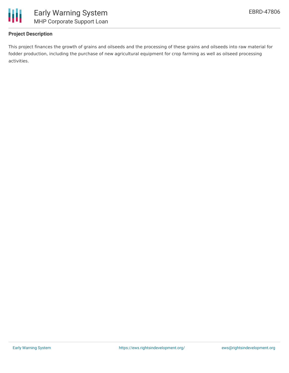

### **Project Description**

This project finances the growth of grains and oilseeds and the processing of these grains and oilseeds into raw material for fodder production, including the purchase of new agricultural equipment for crop farming as well as oilseed processing activities.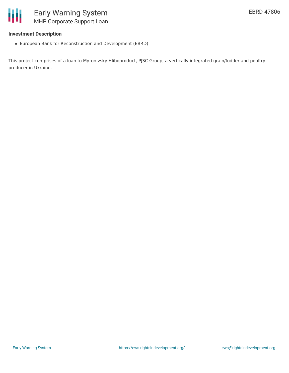

# MHP Corporate Support Loan

### **Investment Description**

European Bank for Reconstruction and Development (EBRD)

This project comprises of a loan to Myronivsky Hliboproduct, PJSC Group, a vertically integrated grain/fodder and poultry producer in Ukraine.